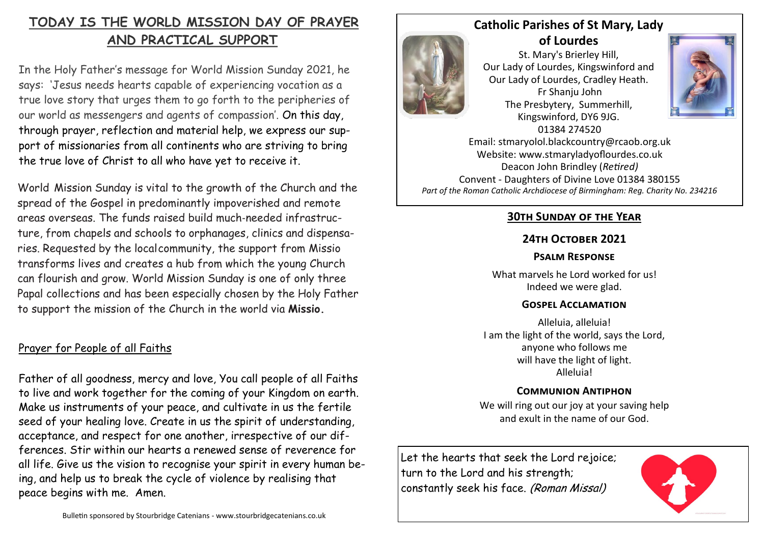# **TODAY IS THE WORLD MISSION DAY OF PRAYER AND PRACTICAL SUPPORT**

In the Holy Father's message for World Mission Sunday 2021, he says: 'Jesus needs hearts capable of experiencing vocation as a true love story that urges them to go forth to the peripheries of our world as messengers and agents of compassion'. On this day, through prayer, reflection and material help, we express our support of missionaries from all continents who are striving to bring the true love of Christ to all who have yet to receive it.

World Mission Sunday is vital to the growth of the Church and the spread of the Gospel in predominantly impoverished and remote areas overseas. The funds raised build much‐needed infrastructure, from chapels and schools to orphanages, clinics and dispensaries. Requested by the localcommunity, the support from Missio transforms lives and creates a hub from which the young Church can flourish and grow. World Mission Sunday is one of only three Papal collections and has been especially chosen by the Holy Father to support the mission of the Church in the world via **Missio.**

# Prayer for People of all Faiths

Father of all goodness, mercy and love, You call people of all Faiths to live and work together for the coming of your Kingdom on earth. Make us instruments of your peace, and cultivate in us the fertile seed of your healing love. Create in us the spirit of understanding, acceptance, and respect for one another, irrespective of our differences. Stir within our hearts a renewed sense of reverence for all life. Give us the vision to recognise your spirit in every human being, and help us to break the cycle of violence by realising that peace begins with me. Amen.



**Catholic Parishes of St Mary, Lady of Lourdes** 

St. Mary's Brierley Hill, Our Lady of Lourdes, Kingswinford and Our Lady of Lourdes, Cradley Heath. Fr Shanju John The Presbytery, Summerhill, Kingswinford, DY6 9JG. 01384 274520



Email: stmaryolol.blackcountry@rcaob.org.uk Website: www.stmaryladyoflourdes.co.uk Deacon John Brindley (*Retired)* Convent - Daughters of Divine Love 01384 380155 *Part of the Roman Catholic Archdiocese of Birmingham: Reg. Charity No. 234216*

# **30th Sunday of the Year**

# **24th October 2021**

### **Psalm Response**

What marvels he Lord worked for us! Indeed we were glad.

### **Gospel Acclamation**

Alleluia, alleluia! I am the light of the world, says the Lord, anyone who follows me will have the light of light. Alleluia!

## **Communion Antiphon**

We will ring out our joy at your saving help and exult in the name of our God.

Let the hearts that seek the Lord rejoice; turn to the Lord and his strength; constantly seek his face. (Roman Missal)